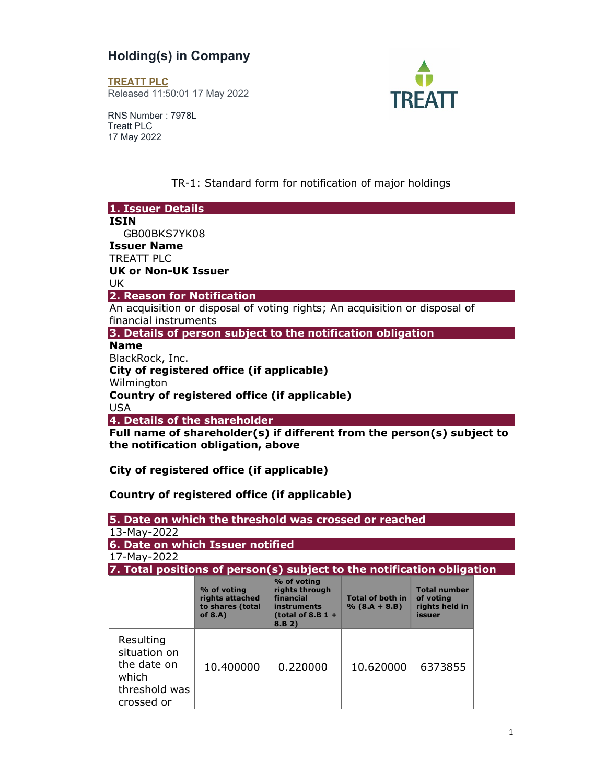## Holding(s) in Company

TREATT PLC Released 11:50:01 17 May 2022



RNS Number : 7978L Treatt PLC 17 May 2022

## TR-1: Standard form for notification of major holdings

| 1. Issuer Details                                           |  |                                                                            |
|-------------------------------------------------------------|--|----------------------------------------------------------------------------|
| <b>ISIN</b>                                                 |  |                                                                            |
| GB00BKS7YK08                                                |  |                                                                            |
| <b>Issuer Name</b>                                          |  |                                                                            |
| <b>TREATT PLC</b>                                           |  |                                                                            |
| <b>UK or Non-UK Issuer</b>                                  |  |                                                                            |
| UK                                                          |  |                                                                            |
| 2. Reason for Notification                                  |  |                                                                            |
|                                                             |  | An acquisition or disposal of voting rights; An acquisition or disposal of |
| financial instruments                                       |  |                                                                            |
| 3. Details of person subject to the notification obligation |  |                                                                            |
| <b>Name</b>                                                 |  |                                                                            |
| BlackRock, Inc.                                             |  |                                                                            |
| City of registered office (if applicable)                   |  |                                                                            |
| Wilmington                                                  |  |                                                                            |
| Country of registered office (if applicable)<br><b>USA</b>  |  |                                                                            |
| 4. Details of the shareholder                               |  |                                                                            |
|                                                             |  | Full name of shareholder(s) if different from the person(s) subject to     |
| the notification obligation, above                          |  |                                                                            |
|                                                             |  |                                                                            |
|                                                             |  |                                                                            |
|                                                             |  |                                                                            |
| City of registered office (if applicable)                   |  |                                                                            |
|                                                             |  |                                                                            |
| Country of registered office (if applicable)                |  |                                                                            |
| 5. Date on which the threshold was crossed or reached       |  |                                                                            |
| 13-May-2022                                                 |  |                                                                            |
| 6. Date on which Issuer notified                            |  |                                                                            |
| 17-May-2022                                                 |  |                                                                            |
|                                                             |  | 7. Total positions of person(s) subject to the notification obligation     |

|                                                                                  | % of voting<br>rights attached<br>to shares (total<br>of $8.A$ ) | $\sim$ $\sim$ $\sim$ $\sim$ $\sim$ $\sim$ $\sim$<br>rights through<br>financial<br>instruments<br>(total of 8.B $1 +$<br>8.B 2) | <b>Total of both in</b><br>$% (8.A + 8.B)$ | <b>Total number</b><br>of voting<br>rights held in<br>issuer |  |
|----------------------------------------------------------------------------------|------------------------------------------------------------------|---------------------------------------------------------------------------------------------------------------------------------|--------------------------------------------|--------------------------------------------------------------|--|
| Resulting<br>situation on<br>the date on<br>which<br>threshold was<br>crossed or | 10.400000                                                        | 0.220000                                                                                                                        | 10.620000                                  | 6373855                                                      |  |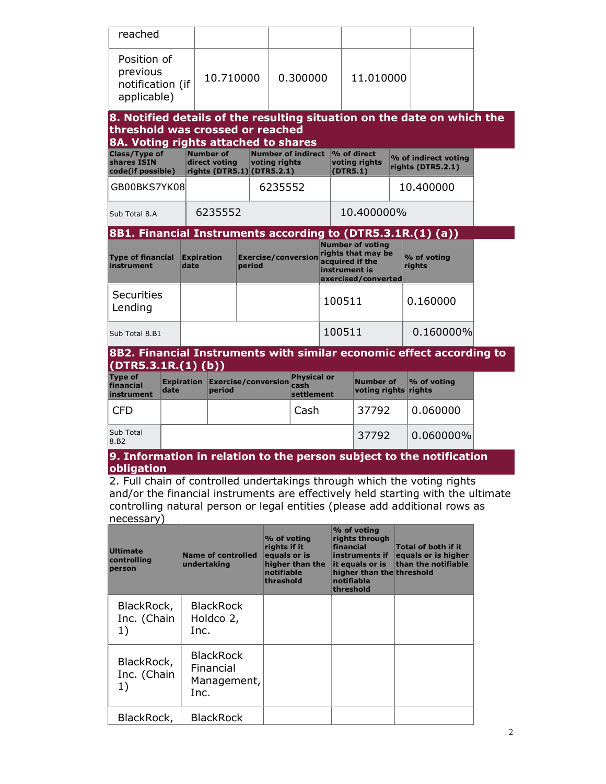| reached                                                                                                                                             |                                                                                                                                                                                                                                               |                           |                                              |        |                                                                        |                                          |  |           |                                                                                                                            |              |                                                                                                                                                                 |  |
|-----------------------------------------------------------------------------------------------------------------------------------------------------|-----------------------------------------------------------------------------------------------------------------------------------------------------------------------------------------------------------------------------------------------|---------------------------|----------------------------------------------|--------|------------------------------------------------------------------------|------------------------------------------|--|-----------|----------------------------------------------------------------------------------------------------------------------------|--------------|-----------------------------------------------------------------------------------------------------------------------------------------------------------------|--|
| Position of<br>previous<br>notification (if<br>applicable)                                                                                          |                                                                                                                                                                                                                                               |                           | 10.710000                                    |        |                                                                        | 0.300000                                 |  |           | 11.010000                                                                                                                  |              |                                                                                                                                                                 |  |
| 8. Notified details of the resulting situation on the date on which the<br>threshold was crossed or reached<br>8A. Voting rights attached to shares |                                                                                                                                                                                                                                               |                           |                                              |        |                                                                        |                                          |  |           |                                                                                                                            |              |                                                                                                                                                                 |  |
| shares ISIN                                                                                                                                         | <b>Number of indirect</b><br>Class/Type of<br><b>Number of</b><br>% of direct<br>% of indirect voting<br>direct voting<br>votina riahts<br>voting rights<br>rights (DTR5.2.1)<br>code(if possible)<br>rights $(DTR5.1)(DTR5.2.1)$<br>(DTR5.1) |                           |                                              |        |                                                                        |                                          |  |           |                                                                                                                            |              |                                                                                                                                                                 |  |
|                                                                                                                                                     | 10.400000<br>6235552<br>GB00BKS7YK08                                                                                                                                                                                                          |                           |                                              |        |                                                                        |                                          |  |           |                                                                                                                            |              |                                                                                                                                                                 |  |
| Sub Total 8.A                                                                                                                                       |                                                                                                                                                                                                                                               |                           | 6235552                                      |        |                                                                        |                                          |  |           | 10.400000%                                                                                                                 |              |                                                                                                                                                                 |  |
| 8B1. Financial Instruments according to (DTR5.3.1R.(1) (a))                                                                                         |                                                                                                                                                                                                                                               |                           |                                              |        |                                                                        |                                          |  |           |                                                                                                                            |              |                                                                                                                                                                 |  |
| <b>Type of financial</b><br><i>instrument</i>                                                                                                       |                                                                                                                                                                                                                                               | <b>Expiration</b><br>date |                                              | period |                                                                        | <b>Exercise/conversion</b>               |  |           | <b>Number of voting</b><br>rights that may be<br>acquired if the<br>instrument is<br>exercised/converted                   |              | % of voting<br>rights                                                                                                                                           |  |
| <b>Securities</b><br>Lending                                                                                                                        |                                                                                                                                                                                                                                               |                           |                                              |        |                                                                        |                                          |  | 100511    |                                                                                                                            |              | 0.160000                                                                                                                                                        |  |
| Sub Total 8.B1                                                                                                                                      |                                                                                                                                                                                                                                               |                           |                                              |        |                                                                        |                                          |  | 100511    |                                                                                                                            | $0.160000\%$ |                                                                                                                                                                 |  |
| (DTR5.3.1R.(1) (b))                                                                                                                                 |                                                                                                                                                                                                                                               |                           |                                              |        |                                                                        |                                          |  |           |                                                                                                                            |              | 8B2. Financial Instruments with similar economic effect according to                                                                                            |  |
| <b>Type of</b><br>financial<br>instrument                                                                                                           | date                                                                                                                                                                                                                                          | <b>Expiration</b>         | <b>Exercise/conversion</b><br>period         |        |                                                                        | <b>Physical or</b><br>cash<br>settlement |  |           | <b>Number of</b><br>voting rights rights                                                                                   |              | % of voting                                                                                                                                                     |  |
| <b>CFD</b>                                                                                                                                          |                                                                                                                                                                                                                                               |                           |                                              |        |                                                                        | Cash                                     |  |           | 37792                                                                                                                      |              | 0.060000                                                                                                                                                        |  |
| Sub Total<br>8.B <sub>2</sub>                                                                                                                       |                                                                                                                                                                                                                                               |                           |                                              |        |                                                                        |                                          |  |           | 37792                                                                                                                      |              | 0.060000%                                                                                                                                                       |  |
| obligation                                                                                                                                          |                                                                                                                                                                                                                                               |                           |                                              |        |                                                                        |                                          |  |           |                                                                                                                            |              | 9. Information in relation to the person subject to the notification                                                                                            |  |
|                                                                                                                                                     |                                                                                                                                                                                                                                               |                           |                                              |        |                                                                        |                                          |  |           |                                                                                                                            |              | 2. Full chain of controlled undertakings through which the voting rights                                                                                        |  |
|                                                                                                                                                     |                                                                                                                                                                                                                                               |                           |                                              |        |                                                                        |                                          |  |           |                                                                                                                            |              | and/or the financial instruments are effectively held starting with the ultimate<br>controlling natural person or legal entities (please add additional rows as |  |
| necessary)<br><b>Ultimate</b><br>controlling<br>person                                                                                              |                                                                                                                                                                                                                                               | undertaking               | <b>Name of controlled</b>                    |        | % of voting<br>rights if it<br>equals or is<br>notifiable<br>threshold | higher than the                          |  | financial | % of voting<br>rights through<br>instruments if<br>it equals or is<br>higher than the threshold<br>notifiable<br>threshold |              | Total of both if it<br>equals or is higher<br>than the notifiable                                                                                               |  |
| BlackRock,<br>Inc. (Chain<br>1)                                                                                                                     |                                                                                                                                                                                                                                               | Inc.                      | <b>BlackRock</b><br>Holdco 2,                |        |                                                                        |                                          |  |           |                                                                                                                            |              |                                                                                                                                                                 |  |
| BlackRock,<br>Inc. (Chain<br>1)                                                                                                                     |                                                                                                                                                                                                                                               | Inc.                      | <b>BlackRock</b><br>Financial<br>Management, |        |                                                                        |                                          |  |           |                                                                                                                            |              |                                                                                                                                                                 |  |
| BlackRock,                                                                                                                                          |                                                                                                                                                                                                                                               |                           | <b>BlackRock</b>                             |        |                                                                        |                                          |  |           |                                                                                                                            |              |                                                                                                                                                                 |  |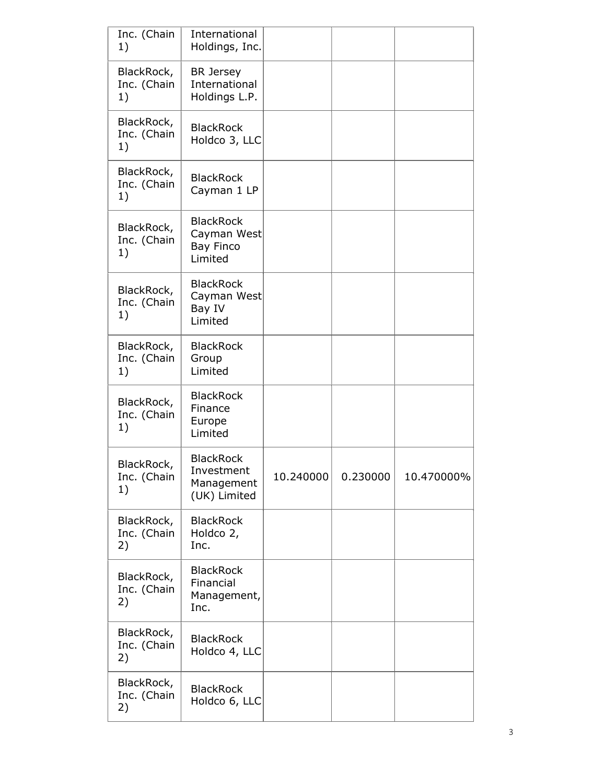| Inc. (Chain<br>1)               | International<br>Holdings, Inc.                                |           |          |            |
|---------------------------------|----------------------------------------------------------------|-----------|----------|------------|
| BlackRock,<br>Inc. (Chain<br>1) | <b>BR</b> Jersey<br>International<br>Holdings L.P.             |           |          |            |
| BlackRock,<br>Inc. (Chain<br>1) | <b>BlackRock</b><br>Holdco 3, LLC                              |           |          |            |
| BlackRock,<br>Inc. (Chain<br>1) | <b>BlackRock</b><br>Cayman 1 LP                                |           |          |            |
| BlackRock,<br>Inc. (Chain<br>1) | <b>BlackRock</b><br>Cayman West<br><b>Bay Finco</b><br>Limited |           |          |            |
| BlackRock,<br>Inc. (Chain<br>1) | <b>BlackRock</b><br>Cayman West<br>Bay IV<br>Limited           |           |          |            |
| BlackRock,<br>Inc. (Chain<br>1) | <b>BlackRock</b><br>Group<br>Limited                           |           |          |            |
| BlackRock,<br>Inc. (Chain<br>1) | <b>BlackRock</b><br>Finance<br>Europe<br>Limited               |           |          |            |
| BlackRock,<br>Inc. (Chain<br>1) | <b>BlackRock</b><br>Investment<br>Management<br>(UK) Limited   | 10.240000 | 0.230000 | 10.470000% |
| BlackRock,<br>Inc. (Chain<br>2) | <b>BlackRock</b><br>Holdco 2,<br>Inc.                          |           |          |            |
| BlackRock,<br>Inc. (Chain<br>2) | <b>BlackRock</b><br>Financial<br>Management,<br>Inc.           |           |          |            |
| BlackRock,<br>Inc. (Chain<br>2) | <b>BlackRock</b><br>Holdco 4, LLC                              |           |          |            |
| BlackRock,<br>Inc. (Chain<br>2) | <b>BlackRock</b><br>Holdco 6, LLC                              |           |          |            |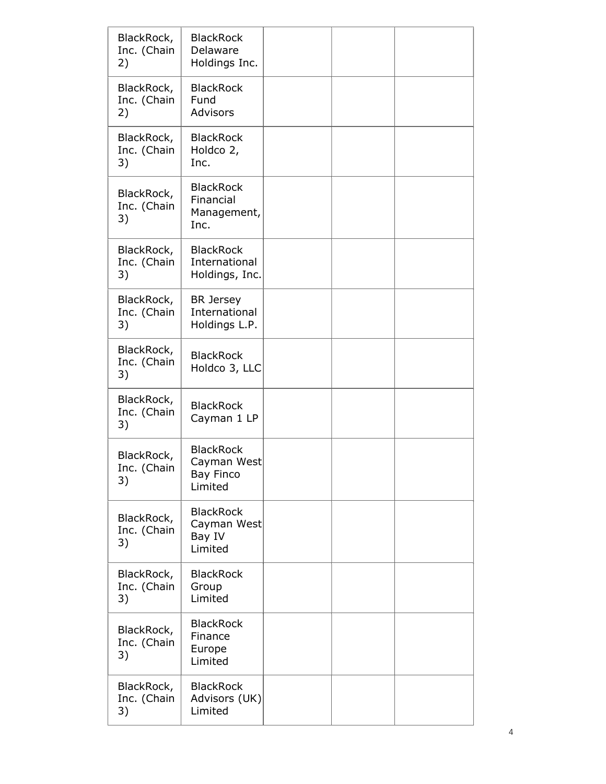| BlackRock,<br>Inc. (Chain<br>2) | <b>BlackRock</b><br>Delaware<br>Holdings Inc.           |  |  |
|---------------------------------|---------------------------------------------------------|--|--|
| BlackRock,<br>Inc. (Chain<br>2) | <b>BlackRock</b><br>Fund<br>Advisors                    |  |  |
| BlackRock,<br>Inc. (Chain<br>3) | <b>BlackRock</b><br>Holdco 2,<br>Inc.                   |  |  |
| BlackRock,<br>Inc. (Chain<br>3) | <b>BlackRock</b><br>Financial<br>Management,<br>Inc.    |  |  |
| BlackRock,<br>Inc. (Chain<br>3) | <b>BlackRock</b><br>International<br>Holdings, Inc.     |  |  |
| BlackRock,<br>Inc. (Chain<br>3) | <b>BR</b> Jersey<br>International<br>Holdings L.P.      |  |  |
| BlackRock,<br>Inc. (Chain<br>3) | <b>BlackRock</b><br>Holdco 3, LLC                       |  |  |
| BlackRock,<br>Inc. (Chain<br>3) | <b>BlackRock</b><br>Cayman 1 LP                         |  |  |
| BlackRock,<br>Inc. (Chain<br>3) | <b>BlackRock</b><br>Cayman West<br>Bay Finco<br>Limited |  |  |
| BlackRock,<br>Inc. (Chain<br>3) | <b>BlackRock</b><br>Cayman West<br>Bay IV<br>Limited    |  |  |
| BlackRock,<br>Inc. (Chain<br>3) | <b>BlackRock</b><br>Group<br>Limited                    |  |  |
| BlackRock,<br>Inc. (Chain<br>3) | <b>BlackRock</b><br>Finance<br>Europe<br>Limited        |  |  |
| BlackRock,<br>Inc. (Chain<br>3) | <b>BlackRock</b><br>Advisors (UK)<br>Limited            |  |  |